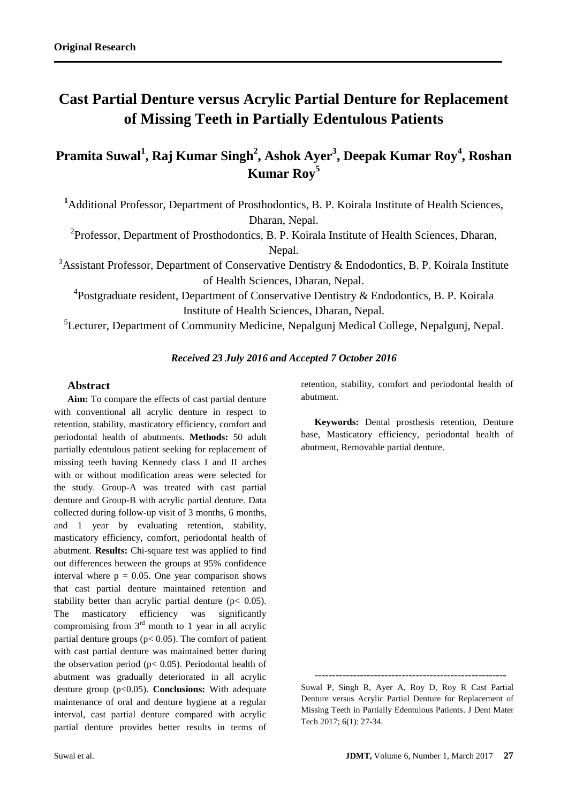# **Cast Partial Denture versus Acrylic Partial Denture for Replacement of Missing Teeth in Partially Edentulous Patients**

# **Pramita Suwal<sup>1</sup> , Raj Kumar Singh<sup>2</sup> , Ashok Ayer<sup>3</sup> , Deepak Kumar Roy<sup>4</sup> , Roshan Kumar Roy<sup>5</sup>**

<sup>1</sup>Additional Professor, Department of Prosthodontics, B. P. Koirala Institute of Health Sciences, Dharan, Nepal.

 $2P$ Professor, Department of Prosthodontics, B. P. Koirala Institute of Health Sciences, Dharan, Nepal.

<sup>3</sup>Assistant Professor, Department of Conservative Dentistry & Endodontics, B. P. Koirala Institute of Health Sciences, Dharan, Nepal.

<sup>4</sup>Postgraduate resident, Department of Conservative Dentistry & Endodontics, B. P. Koirala Institute of Health Sciences, Dharan, Nepal.

<sup>5</sup>Lecturer, Department of Community Medicine, Nepalgunj Medical College, Nepalgunj, Nepal.

# *Received 23 July 2016 and Accepted 7 October 2016*

# **Abstract**

**Aim:** To compare the effects of cast partial denture with conventional all acrylic denture in respect to retention, stability, masticatory efficiency, comfort and periodontal health of abutments. **Methods:** 50 adult partially edentulous patient seeking for replacement of missing teeth having Kennedy class I and II arches with or without modification areas were selected for the study. Group-A was treated with cast partial denture and Group-B with acrylic partial denture. Data collected during follow-up visit of 3 months, 6 months, and 1 year by evaluating retention, stability, masticatory efficiency, comfort, periodontal health of abutment. **Results:** Chi-square test was applied to find out differences between the groups at 95% confidence interval where  $p = 0.05$ . One year comparison shows that cast partial denture maintained retention and stability better than acrylic partial denture ( $p < 0.05$ ). The masticatory efficiency was significantly compromising from  $3<sup>rd</sup>$  month to 1 year in all acrylic partial denture groups ( $p$ < 0.05). The comfort of patient with cast partial denture was maintained better during the observation period ( $p$ < 0.05). Periodontal health of abutment was gradually deteriorated in all acrylic denture group (p<0.05). **Conclusions:** With adequate maintenance of oral and denture hygiene at a regular interval, cast partial denture compared with acrylic partial denture provides better results in terms of retention, stability, comfort and periodontal health of abutment.

**Keywords:** Dental prosthesis retention, Denture base, Masticatory efficiency, periodontal health of abutment, Removable partial denture.

**-------------------------------------------------------**

Suwal P, Singh R, Ayer A, Roy D, Roy R Cast Partial Denture versus Acrylic Partial Denture for Replacement of Missing Teeth in Partially Edentulous Patients. J Dent Mater Tech 2017; 6(1): 27-34.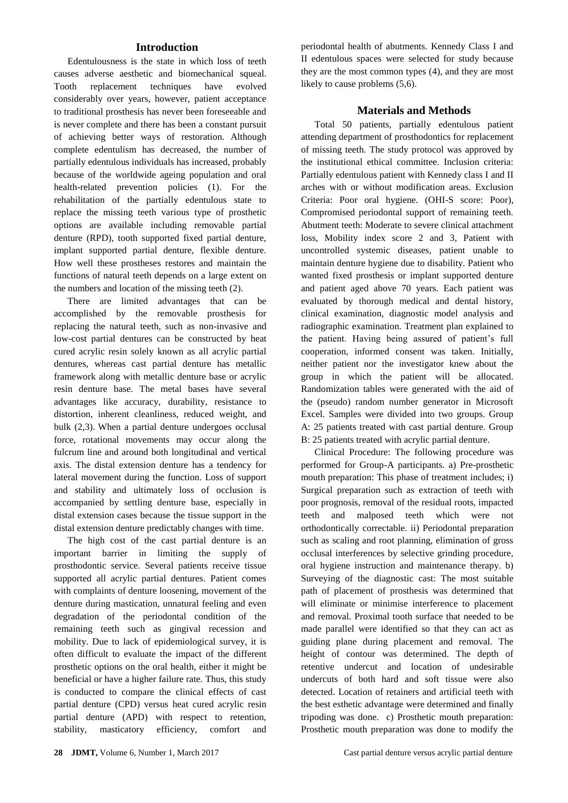# **Introduction**

Edentulousness is the state in which loss of teeth causes adverse aesthetic and biomechanical squeal. Tooth replacement techniques have evolved considerably over years, however, patient acceptance to traditional prosthesis has never been foreseeable and is never complete and there has been a constant pursuit of achieving better ways of restoration. Although complete edentulism has decreased, the number of partially edentulous individuals has increased, probably because of the worldwide ageing population and oral health-related prevention policies (1). For the rehabilitation of the partially edentulous state to replace the missing teeth various type of prosthetic options are available including removable partial denture (RPD), tooth supported fixed partial denture, implant supported partial denture, flexible denture. How well these prostheses restores and maintain the functions of natural teeth depends on a large extent on the numbers and location of the missing teeth (2).

There are limited advantages that can be accomplished by the removable prosthesis for replacing the natural teeth, such as non-invasive and low-cost partial dentures can be constructed by heat cured acrylic resin solely known as all acrylic partial dentures, whereas cast partial denture has metallic framework along with metallic denture base or acrylic resin denture base. The metal bases have several advantages like accuracy, durability, resistance to distortion, inherent cleanliness, reduced weight, and bulk (2,3). When a partial denture undergoes occlusal force, rotational movements may occur along the fulcrum line and around both longitudinal and vertical axis. The distal extension denture has a tendency for lateral movement during the function. Loss of support and stability and ultimately loss of occlusion is accompanied by settling denture base, especially in distal extension cases because the tissue support in the distal extension denture predictably changes with time.

The high cost of the cast partial denture is an important barrier in limiting the supply of prosthodontic service. Several patients receive tissue supported all acrylic partial dentures. Patient comes with complaints of denture loosening, movement of the denture during mastication, unnatural feeling and even degradation of the periodontal condition of the remaining teeth such as gingival recession and mobility. Due to lack of epidemiological survey, it is often difficult to evaluate the impact of the different prosthetic options on the oral health, either it might be beneficial or have a higher failure rate. Thus, this study is conducted to compare the clinical effects of cast partial denture (CPD) versus heat cured acrylic resin partial denture (APD) with respect to retention, stability, masticatory efficiency, comfort and

periodontal health of abutments. Kennedy Class I and II edentulous spaces were selected for study because they are the most common types (4), and they are most likely to cause problems (5,6).

#### **Materials and Methods**

Total 50 patients, partially edentulous patient attending department of prosthodontics for replacement of missing teeth. The study protocol was approved by the institutional ethical committee. Inclusion criteria: Partially edentulous patient with Kennedy class I and II arches with or without modification areas. Exclusion Criteria: Poor oral hygiene. (OHI-S score: Poor), Compromised periodontal support of remaining teeth. Abutment teeth: Moderate to severe clinical attachment loss, Mobility index score 2 and 3, Patient with uncontrolled systemic diseases, patient unable to maintain denture hygiene due to disability. Patient who wanted fixed prosthesis or implant supported denture and patient aged above 70 years. Each patient was evaluated by thorough medical and dental history, clinical examination, diagnostic model analysis and radiographic examination. Treatment plan explained to the patient. Having being assured of patient's full cooperation, informed consent was taken. Initially, neither patient nor the investigator knew about the group in which the patient will be allocated. Randomization tables were generated with the aid of the (pseudo) random number generator in Microsoft Excel. Samples were divided into two groups. Group A: 25 patients treated with cast partial denture. Group B: 25 patients treated with acrylic partial denture.

Clinical Procedure: The following procedure was performed for Group-A participants. a) Pre-prosthetic mouth preparation: This phase of treatment includes; i) Surgical preparation such as extraction of teeth with poor prognosis, removal of the residual roots, impacted teeth and malposed teeth which were not orthodontically correctable. ii) Periodontal preparation such as scaling and root planning, elimination of gross occlusal interferences by selective grinding procedure, oral hygiene instruction and maintenance therapy. b) Surveying of the diagnostic cast: The most suitable path of placement of prosthesis was determined that will eliminate or minimise interference to placement and removal. Proximal tooth surface that needed to be made parallel were identified so that they can act as guiding plane during placement and removal. The height of contour was determined. The depth of retentive undercut and location of undesirable undercuts of both hard and soft tissue were also detected. Location of retainers and artificial teeth with the best esthetic advantage were determined and finally tripoding was done. c) Prosthetic mouth preparation: Prosthetic mouth preparation was done to modify the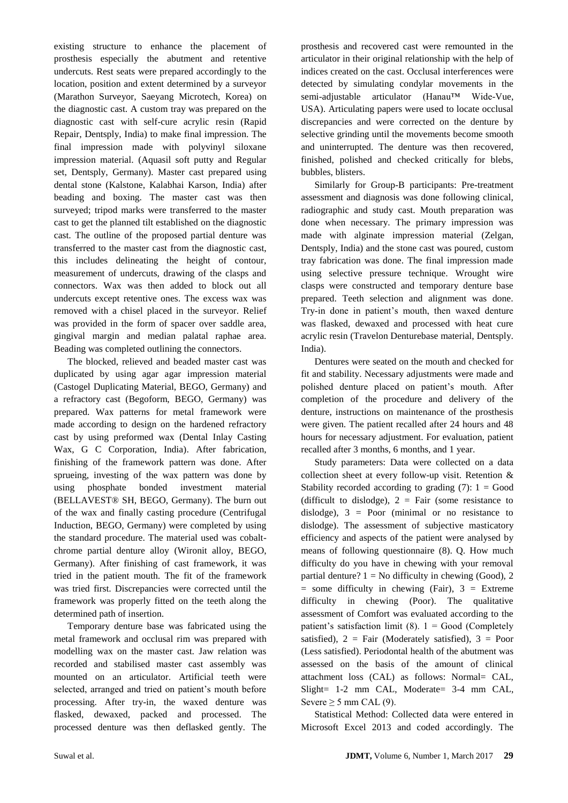existing structure to enhance the placement of prosthesis especially the abutment and retentive undercuts. Rest seats were prepared accordingly to the location, position and extent determined by a surveyor (Marathon Surveyor, Saeyang Microtech, Korea) on the diagnostic cast. A custom tray was prepared on the diagnostic cast with self-cure acrylic resin (Rapid Repair, Dentsply, India) to make final impression. The final impression made with polyvinyl siloxane impression material. (Aquasil soft putty and Regular set, Dentsply, Germany). Master cast prepared using dental stone (Kalstone, Kalabhai Karson, India) after beading and boxing. The master cast was then surveyed; tripod marks were transferred to the master cast to get the planned tilt established on the diagnostic cast. The outline of the proposed partial denture was transferred to the master cast from the diagnostic cast, this includes delineating the height of contour, measurement of undercuts, drawing of the clasps and connectors. Wax was then added to block out all undercuts except retentive ones. The excess wax was removed with a chisel placed in the surveyor. Relief was provided in the form of spacer over saddle area, gingival margin and median palatal raphae area. Beading was completed outlining the connectors.

The blocked, relieved and beaded master cast was duplicated by using agar agar impression material (Castogel Duplicating Material, BEGO, Germany) and a refractory cast (Begoform, BEGO, Germany) was prepared. Wax patterns for metal framework were made according to design on the hardened refractory cast by using preformed wax (Dental Inlay Casting Wax, G C Corporation, India). After fabrication, finishing of the framework pattern was done. After sprueing, investing of the wax pattern was done by using phosphate bonded investment material (BELLAVEST® SH, BEGO, Germany). The burn out of the wax and finally casting procedure (Centrifugal Induction, BEGO, Germany) were completed by using the standard procedure. The material used was cobaltchrome partial denture alloy (Wironit alloy, BEGO, Germany). After finishing of cast framework, it was tried in the patient mouth. The fit of the framework was tried first. Discrepancies were corrected until the framework was properly fitted on the teeth along the determined path of insertion.

Temporary denture base was fabricated using the metal framework and occlusal rim was prepared with modelling wax on the master cast. Jaw relation was recorded and stabilised master cast assembly was mounted on an articulator. Artificial teeth were selected, arranged and tried on patient's mouth before processing. After try-in, the waxed denture was flasked, dewaxed, packed and processed. The processed denture was then deflasked gently. The

prosthesis and recovered cast were remounted in the articulator in their original relationship with the help of indices created on the cast. Occlusal interferences were detected by simulating condylar movements in the semi-adjustable articulator (Hanau™ Wide-Vue, USA). Articulating papers were used to locate occlusal discrepancies and were corrected on the denture by selective grinding until the movements become smooth and uninterrupted. The denture was then recovered, finished, polished and checked critically for blebs, bubbles, blisters.

Similarly for Group-B participants: Pre-treatment assessment and diagnosis was done following clinical, radiographic and study cast. Mouth preparation was done when necessary. The primary impression was made with alginate impression material (Zelgan, Dentsply, India) and the stone cast was poured, custom tray fabrication was done. The final impression made using selective pressure technique. Wrought wire clasps were constructed and temporary denture base prepared. Teeth selection and alignment was done. Try-in done in patient's mouth, then waxed denture was flasked, dewaxed and processed with heat cure acrylic resin (Travelon Denturebase material, Dentsply. India).

Dentures were seated on the mouth and checked for fit and stability. Necessary adjustments were made and polished denture placed on patient's mouth. After completion of the procedure and delivery of the denture, instructions on maintenance of the prosthesis were given. The patient recalled after 24 hours and 48 hours for necessary adjustment. For evaluation, patient recalled after 3 months, 6 months, and 1 year.

Study parameters: Data were collected on a data collection sheet at every follow-up visit. Retention & Stability recorded according to grading  $(7)$ :  $1 = Good$ (difficult to dislodge),  $2 = \text{Fair}$  (some resistance to dislodge),  $3 = \text{Poor}$  (minimal or no resistance to dislodge). The assessment of subjective masticatory efficiency and aspects of the patient were analysed by means of following questionnaire (8). Q. How much difficulty do you have in chewing with your removal partial denture?  $1 = No$  difficulty in chewing (Good), 2  $=$  some difficulty in chewing (Fair),  $3 =$  Extreme difficulty in chewing (Poor). The qualitative assessment of Comfort was evaluated according to the patient's satisfaction limit  $(8)$ . 1 = Good (Completely satisfied),  $2 = \text{Fair (Modernately satisfied)}$ ,  $3 = \text{Poor}$ (Less satisfied). Periodontal health of the abutment was assessed on the basis of the amount of clinical attachment loss (CAL) as follows: Normal= CAL, Slight= 1-2 mm CAL, Moderate= 3-4 mm CAL, Severe  $\geq$  5 mm CAL (9).

Statistical Method: Collected data were entered in Microsoft Excel 2013 and coded accordingly. The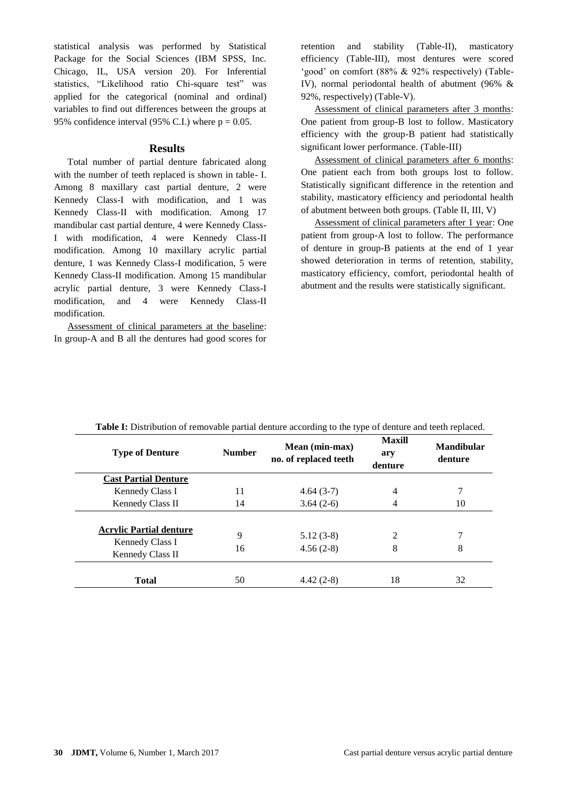statistical analysis was performed by Statistical Package for the Social Sciences (IBM SPSS, Inc. Chicago, IL, USA version 20). For Inferential statistics, "Likelihood ratio Chi-square test" was applied for the categorical (nominal and ordinal) variables to find out differences between the groups at 95% confidence interval (95% C.I.) where  $p = 0.05$ .

#### **Results**

Total number of partial denture fabricated along with the number of teeth replaced is shown in table- I. Among 8 maxillary cast partial denture, 2 were Kennedy Class-I with modification, and 1 was Kennedy Class-II with modification. Among 17 mandibular cast partial denture, 4 were Kennedy Class-I with modification, 4 were Kennedy Class-II modification. Among 10 maxillary acrylic partial denture, 1 was Kennedy Class-I modification, 5 were Kennedy Class-II modification. Among 15 mandibular acrylic partial denture, 3 were Kennedy Class-I modification, and 4 were Kennedy Class-II modification.

Assessment of clinical parameters at the baseline: In group-A and B all the dentures had good scores for retention and stability (Table-II), masticatory efficiency (Table-III), most dentures were scored 'good' on comfort (88% & 92% respectively) (Table-IV), normal periodontal health of abutment (96% & 92%, respectively) (Table-V).

Assessment of clinical parameters after 3 months: One patient from group-B lost to follow. Masticatory efficiency with the group-B patient had statistically significant lower performance. (Table-III)

Assessment of clinical parameters after 6 months: One patient each from both groups lost to follow. Statistically significant difference in the retention and stability, masticatory efficiency and periodontal health of abutment between both groups. (Table II, III, V)

Assessment of clinical parameters after 1 year: One patient from group-A lost to follow. The performance of denture in group-B patients at the end of 1 year showed deterioration in terms of retention, stability, masticatory efficiency, comfort, periodontal health of abutment and the results were statistically significant.

| <b>Type of Denture</b>                                                | <b>Number</b> | Mean (min-max)<br>no. of replaced teeth | <b>Maxill</b><br>ary<br>denture | <b>Mandibular</b><br>denture |
|-----------------------------------------------------------------------|---------------|-----------------------------------------|---------------------------------|------------------------------|
| <b>Cast Partial Denture</b>                                           |               |                                         |                                 |                              |
| Kennedy Class I                                                       | 11            | $4.64(3-7)$                             | 4                               |                              |
| Kennedy Class II                                                      | 14            | $3.64(2-6)$                             |                                 | 10                           |
| <b>Acrylic Partial denture</b><br>Kennedy Class I<br>Kennedy Class II | 9<br>16       | $5.12(3-8)$<br>$4.56(2-8)$              | 2<br>8                          | 8                            |
| Total                                                                 | 50            | $4.42(2-8)$                             | 18                              | 32                           |

| <b>Table I:</b> Distribution of removable partial denture according to the type of denture and teeth replaced. |  |  |
|----------------------------------------------------------------------------------------------------------------|--|--|
|----------------------------------------------------------------------------------------------------------------|--|--|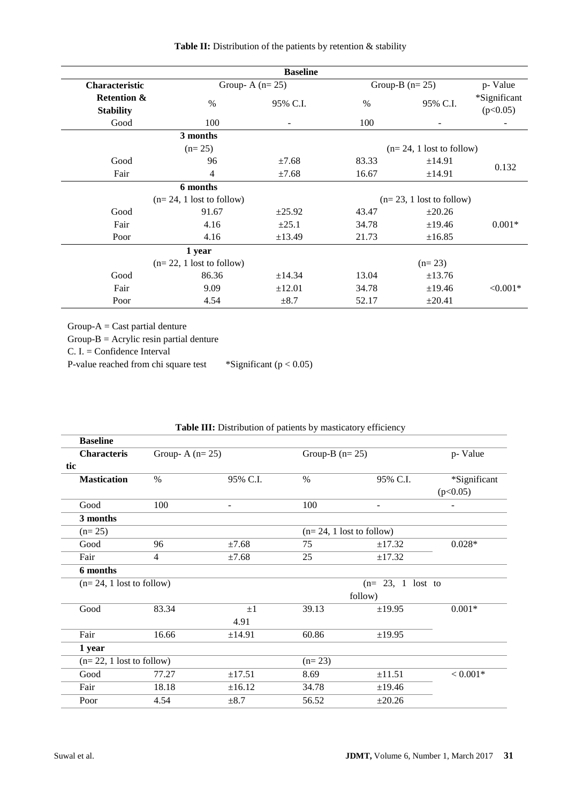|                        | <b>Baseline</b>            |             |                  |                             |              |  |  |  |
|------------------------|----------------------------|-------------|------------------|-----------------------------|--------------|--|--|--|
| Characteristic         | Group- A $(n=25)$          |             | Group-B $(n=25)$ |                             |              |  |  |  |
| <b>Retention &amp;</b> | $\%$                       | 95% C.I.    | $\%$             | 95% C.I.                    | *Significant |  |  |  |
| <b>Stability</b>       |                            |             |                  |                             | (p<0.05)     |  |  |  |
| Good                   | 100                        |             | 100              |                             | -            |  |  |  |
|                        | 3 months                   |             |                  |                             |              |  |  |  |
|                        | $(n=25)$                   |             |                  | $(n=24, 1$ lost to follow)  |              |  |  |  |
| Good                   | 96                         | ±7.68       | 83.33            | ±14.91                      | 0.132        |  |  |  |
| Fair                   | 4                          | ±7.68       | 16.67            | ±14.91                      |              |  |  |  |
|                        | 6 months                   |             |                  |                             |              |  |  |  |
|                        | $(n=24, 1$ lost to follow) |             |                  | $(n=23, 1)$ lost to follow) |              |  |  |  |
| Good                   | 91.67                      | ±25.92      | 43.47            | ±20.26                      |              |  |  |  |
| Fair                   | 4.16                       | $\pm 25.1$  | 34.78            | ±19.46                      | $0.001*$     |  |  |  |
| Poor                   | 4.16                       | ±13.49      | 21.73            | ±16.85                      |              |  |  |  |
|                        | 1 year                     |             |                  |                             |              |  |  |  |
|                        | $(n=22, 1$ lost to follow) |             |                  | $(n=23)$                    |              |  |  |  |
| Good                   | 86.36                      | ±14.34      | 13.04            | ±13.76                      |              |  |  |  |
| Fair                   | 9.09                       | $\pm 12.01$ | 34.78            | ±19.46                      | $< 0.001*$   |  |  |  |
| Poor                   | 4.54                       | $\pm 8.7$   | 52.17            | $\pm 20.41$                 |              |  |  |  |

 $Group-A = Cast$  partial denture

Group-B = Acrylic resin partial denture

C. I. = Confidence Interval

P-value reached from chi square test \*Significant  $(p < 0.05)$ 

|                            |                          | $\ldots$ is not be contained by the contained position of $\eta$ |                     |                                       |
|----------------------------|--------------------------|------------------------------------------------------------------|---------------------|---------------------------------------|
|                            |                          |                                                                  |                     |                                       |
| <b>Characteris</b>         | Group-B $(n=25)$         |                                                                  |                     | p- Value                              |
|                            |                          |                                                                  |                     |                                       |
| %<br><b>Mastication</b>    | 95% C.I.                 | $\%$                                                             | 95% C.I.            | *Significant                          |
|                            |                          |                                                                  |                     | (p<0.05)                              |
| 100                        | $\overline{\phantom{a}}$ | 100                                                              | ٠                   |                                       |
|                            |                          |                                                                  |                     |                                       |
|                            |                          |                                                                  |                     |                                       |
| 96                         | ±7.68                    | 75                                                               | ±17.32              | $0.028*$                              |
| $\overline{4}$             | $\pm 7.68$               | 25                                                               | ±17.32              |                                       |
|                            |                          |                                                                  |                     |                                       |
| $(n=24, 1$ lost to follow) |                          |                                                                  | $(n=23, 1)$ lost to |                                       |
|                            |                          |                                                                  |                     |                                       |
| 83.34                      | $\pm 1$                  | 39.13                                                            | ±19.95              | $0.001*$                              |
|                            | 4.91                     |                                                                  |                     |                                       |
| 16.66                      | ±14.91                   | 60.86                                                            | ±19.95              |                                       |
|                            |                          |                                                                  |                     |                                       |
| $(n=22, 1$ lost to follow) |                          |                                                                  |                     |                                       |
| 77.27                      | ±17.51                   | 8.69                                                             | ±11.51              | $< 0.001*$                            |
| 18.18                      | ±16.12                   | 34.78                                                            | ±19.46              |                                       |
| 4.54                       | $\pm 8.7$                | 56.52                                                            | ±20.26              |                                       |
|                            |                          | Group-A $(n=25)$                                                 | $(n=23)$            | $(n=24, 1$ lost to follow)<br>follow) |

| Table III: Distribution of patients by masticatory efficiency |  |  |  |  |  |
|---------------------------------------------------------------|--|--|--|--|--|
|---------------------------------------------------------------|--|--|--|--|--|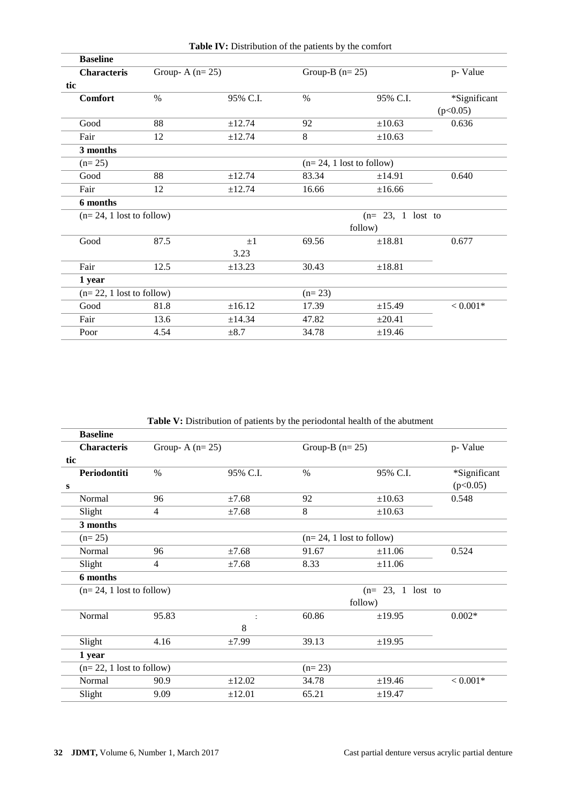| <b>Baseline</b>            |                  |           |                            |                    |              |
|----------------------------|------------------|-----------|----------------------------|--------------------|--------------|
| <b>Characteris</b>         | Group-A $(n=25)$ |           | Group-B $(n=25)$           |                    | p- Value     |
| tic                        |                  |           |                            |                    |              |
| <b>Comfort</b>             | %                | 95% C.I.  | $\%$                       | 95% C.I.           | *Significant |
|                            |                  |           |                            |                    | (p<0.05)     |
| Good                       | 88               | ±12.74    | 92                         | ±10.63             | 0.636        |
| Fair                       | 12               | ±12.74    | 8                          | ±10.63             |              |
| 3 months                   |                  |           |                            |                    |              |
| $(n=25)$                   |                  |           | $(n=24, 1$ lost to follow) |                    |              |
| Good                       | 88               | ±12.74    | 83.34                      | ±14.91             | 0.640        |
| Fair                       | 12               | ±12.74    | 16.66                      | ±16.66             |              |
| 6 months                   |                  |           |                            |                    |              |
| $(n=24, 1$ lost to follow) |                  |           |                            | $(n=23, 1$ lost to |              |
|                            |                  |           |                            | follow)            |              |
| Good                       | 87.5             | $+1$      | 69.56                      | ±18.81             | 0.677        |
|                            |                  | 3.23      |                            |                    |              |
| Fair                       | 12.5             | ±13.23    | 30.43                      | ±18.81             |              |
| 1 year                     |                  |           |                            |                    |              |
| $(n=22, 1$ lost to follow) |                  |           | $(n=23)$                   |                    |              |
| $\operatorname{Good}$      | 81.8             | ±16.12    | 17.39                      | ±15.49             | $< 0.001*$   |
| Fair                       | 13.6             | ±14.34    | 47.82                      | $\pm 20.41$        |              |
| Poor                       | 4.54             | $\pm 8.7$ | 34.78                      | ±19.46             |              |
|                            |                  |           |                            |                    |              |

**Table V:** Distribution of patients by the periodontal health of the abutment

|     | <b>Baseline</b>            |                  |            |                            |                     |              |
|-----|----------------------------|------------------|------------|----------------------------|---------------------|--------------|
|     | <b>Characteris</b>         | Group-A $(n=25)$ |            | Group-B $(n=25)$           |                     | p- Value     |
| tic |                            |                  |            |                            |                     |              |
|     | Periodontiti               | %                | 95% C.I.   | $\frac{0}{0}$              | 95% C.I.            | *Significant |
| S   |                            |                  |            |                            |                     | (p<0.05)     |
|     | Normal                     | 96               | $\pm 7.68$ | 92                         | ±10.63              | 0.548        |
|     | Slight                     | 4                | $\pm 7.68$ | 8                          | ±10.63              |              |
|     | 3 months                   |                  |            |                            |                     |              |
|     | $(n=25)$                   |                  |            | $(n=24, 1$ lost to follow) |                     |              |
|     | Normal                     | 96               | ±7.68      | 91.67                      | ±11.06              | 0.524        |
|     | Slight                     | 4                | ±7.68      | 8.33                       | ±11.06              |              |
|     | 6 months                   |                  |            |                            |                     |              |
|     | $(n=24, 1$ lost to follow) |                  |            |                            | $(n=23, 1)$ lost to |              |
|     |                            |                  |            | follow)                    |                     |              |
|     | Normal                     | 95.83            |            | 60.86                      | ±19.95              | $0.002*$     |
|     |                            |                  | 8          |                            |                     |              |
|     | Slight                     | 4.16             | ±7.99      | 39.13                      | ±19.95              |              |
|     | 1 year                     |                  |            |                            |                     |              |
|     | $(n=22, 1$ lost to follow) |                  |            | $(n=23)$                   |                     |              |
|     | Normal                     | 90.9             | ±12.02     | 34.78                      | ±19.46              | $< 0.001*$   |
|     | Slight                     | 9.09             | ±12.01     | 65.21                      | ±19.47              |              |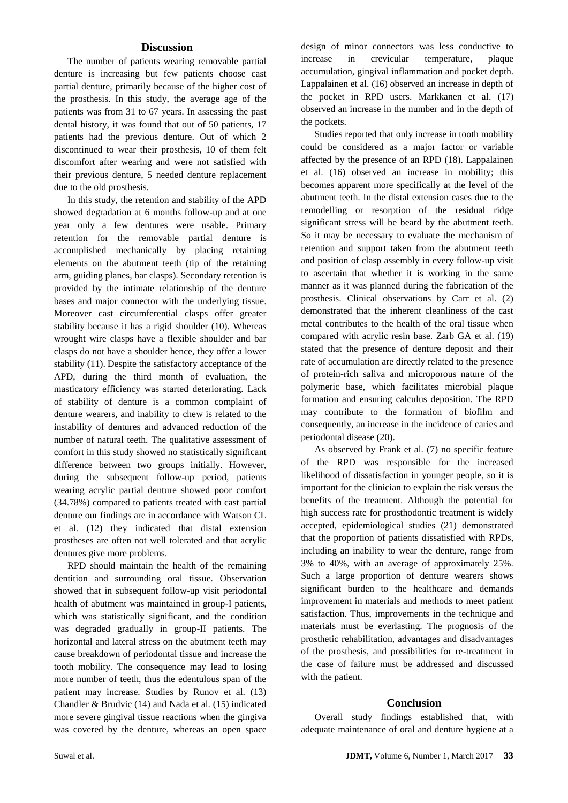### **Discussion**

The number of patients wearing removable partial denture is increasing but few patients choose cast partial denture, primarily because of the higher cost of the prosthesis. In this study, the average age of the patients was from 31 to 67 years. In assessing the past dental history, it was found that out of 50 patients, 17 patients had the previous denture. Out of which 2 discontinued to wear their prosthesis, 10 of them felt discomfort after wearing and were not satisfied with their previous denture, 5 needed denture replacement due to the old prosthesis.

In this study, the retention and stability of the APD showed degradation at 6 months follow-up and at one year only a few dentures were usable. Primary retention for the removable partial denture is accomplished mechanically by placing retaining elements on the abutment teeth (tip of the retaining arm, guiding planes, bar clasps). Secondary retention is provided by the intimate relationship of the denture bases and major connector with the underlying tissue. Moreover cast circumferential clasps offer greater stability because it has a rigid shoulder (10). Whereas wrought wire clasps have a flexible shoulder and bar clasps do not have a shoulder hence, they offer a lower stability (11). Despite the satisfactory acceptance of the APD, during the third month of evaluation, the masticatory efficiency was started deteriorating. Lack of stability of denture is a common complaint of denture wearers, and inability to chew is related to the instability of dentures and advanced reduction of the number of natural teeth. The qualitative assessment of comfort in this study showed no statistically significant difference between two groups initially. However, during the subsequent follow-up period, patients wearing acrylic partial denture showed poor comfort (34.78%) compared to patients treated with cast partial denture our findings are in accordance with Watson CL et al. (12) they indicated that distal extension prostheses are often not well tolerated and that acrylic dentures give more problems.

RPD should maintain the health of the remaining dentition and surrounding oral tissue. Observation showed that in subsequent follow-up visit periodontal health of abutment was maintained in group-I patients, which was statistically significant, and the condition was degraded gradually in group-II patients. The horizontal and lateral stress on the abutment teeth may cause breakdown of periodontal tissue and increase the tooth mobility. The consequence may lead to losing more number of teeth, thus the edentulous span of the patient may increase. Studies by Runov et al. (13) Chandler & Brudvic (14) and Nada et al. (15) indicated more severe gingival tissue reactions when the gingiva was covered by the denture, whereas an open space

design of minor connectors was less conductive to increase in crevicular temperature, plaque accumulation, gingival inflammation and pocket depth. Lappalainen et al. (16) observed an increase in depth of the pocket in RPD users. Markkanen et al. (17) observed an increase in the number and in the depth of the pockets.

Studies reported that only increase in tooth mobility could be considered as a major factor or variable affected by the presence of an RPD (18). Lappalainen et al. (16) observed an increase in mobility; this becomes apparent more specifically at the level of the abutment teeth. In the distal extension cases due to the remodelling or resorption of the residual ridge significant stress will be beard by the abutment teeth. So it may be necessary to evaluate the mechanism of retention and support taken from the abutment teeth and position of clasp assembly in every follow-up visit to ascertain that whether it is working in the same manner as it was planned during the fabrication of the prosthesis. Clinical observations by Carr et al. (2) demonstrated that the inherent cleanliness of the cast metal contributes to the health of the oral tissue when compared with acrylic resin base. Zarb GA et al. (19) stated that the presence of denture deposit and their rate of accumulation are directly related to the presence of protein-rich saliva and microporous nature of the polymeric base, which facilitates microbial plaque formation and ensuring calculus deposition. The RPD may contribute to the formation of biofilm and consequently, an increase in the incidence of caries and periodontal disease (20).

As observed by Frank et al. (7) no specific feature of the RPD was responsible for the increased likelihood of dissatisfaction in younger people, so it is important for the clinician to explain the risk versus the benefits of the treatment. Although the potential for high success rate for prosthodontic treatment is widely accepted, epidemiological studies (21) demonstrated that the proportion of patients dissatisfied with RPDs, including an inability to wear the denture, range from 3% to 40%, with an average of approximately 25%. Such a large proportion of denture wearers shows significant burden to the healthcare and demands improvement in materials and methods to meet patient satisfaction. Thus, improvements in the technique and materials must be everlasting. The prognosis of the prosthetic rehabilitation, advantages and disadvantages of the prosthesis, and possibilities for re-treatment in the case of failure must be addressed and discussed with the patient.

#### **Conclusion**

Overall study findings established that, with adequate maintenance of oral and denture hygiene at a